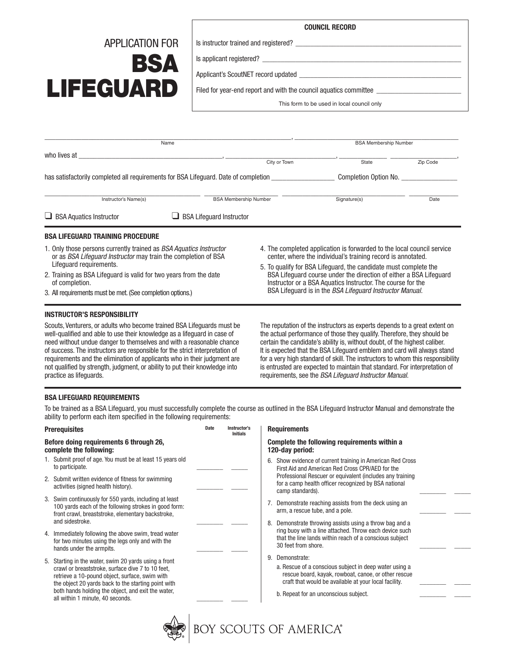## APPLICATION FOR BSA LIFEGUARD

| <b>COUNCIL RECORD</b> |  |
|-----------------------|--|
|                       |  |

Is instructor trained and registered? \_\_\_\_\_\_\_\_\_\_\_\_\_\_\_\_\_\_\_\_\_\_\_\_\_\_\_\_\_\_\_\_\_\_\_\_\_\_\_\_\_\_\_\_\_

Is applicant registered?

Applicant's ScoutNET record updated \_\_\_\_\_\_\_\_\_\_\_\_\_\_\_\_\_\_\_\_\_\_\_\_\_\_\_\_\_\_\_\_\_\_\_\_\_\_\_\_\_\_\_\_

Filed for year-end report and with the council aquatics committee

This form to be used in local council only

| Name                                                                                                                                                                                                                                                                                                                 |                                 | <b>BSA Membership Number</b>                                                                                                                                                                                                                                                                                                                                                                                       |          |  |
|----------------------------------------------------------------------------------------------------------------------------------------------------------------------------------------------------------------------------------------------------------------------------------------------------------------------|---------------------------------|--------------------------------------------------------------------------------------------------------------------------------------------------------------------------------------------------------------------------------------------------------------------------------------------------------------------------------------------------------------------------------------------------------------------|----------|--|
| who lives at                                                                                                                                                                                                                                                                                                         |                                 |                                                                                                                                                                                                                                                                                                                                                                                                                    |          |  |
|                                                                                                                                                                                                                                                                                                                      | City or Town                    | State                                                                                                                                                                                                                                                                                                                                                                                                              | Zip Code |  |
| has satisfactorily completed all requirements for BSA Lifeguard. Date of completion ______________                                                                                                                                                                                                                   |                                 | Completion Option No.                                                                                                                                                                                                                                                                                                                                                                                              |          |  |
| Instructor's Name(s)                                                                                                                                                                                                                                                                                                 | <b>BSA Membership Number</b>    | Signature(s)                                                                                                                                                                                                                                                                                                                                                                                                       | Date     |  |
| $\Box$ BSA Aquatics Instructor                                                                                                                                                                                                                                                                                       | <b>BSA Lifequard Instructor</b> |                                                                                                                                                                                                                                                                                                                                                                                                                    |          |  |
| BSA LIFEGUARD TRAINING PROCEDURE                                                                                                                                                                                                                                                                                     |                                 |                                                                                                                                                                                                                                                                                                                                                                                                                    |          |  |
| 1. Only those persons currently trained as BSA Aquatics Instructor<br>or as BSA Lifeguard Instructor may train the completion of BSA<br>Lifequard requirements.<br>2. Training as BSA Lifeguard is valid for two years from the date<br>of completion.<br>3. All requirements must be met. (See completion options.) |                                 | 4. The completed application is forwarded to the local council service<br>center, where the individual's training record is annotated.<br>5. To qualify for BSA Lifeguard, the candidate must complete the<br>BSA Lifequard course under the direction of either a BSA Lifequard<br>Instructor or a BSA Aquatics Instructor. The course for the<br>BSA Lifequard is in the <i>BSA Lifequard Instructor Manual.</i> |          |  |
| INSTRUCTOR'S RESPONSIBILITY                                                                                                                                                                                                                                                                                          |                                 |                                                                                                                                                                                                                                                                                                                                                                                                                    |          |  |
| Scouts, Venturers, or adults who become trained BSA Lifequards must be<br>well-qualified and able to use their knowledge as a lifequard in case of                                                                                                                                                                   |                                 | The reputation of the instructors as experts depends to a great extent on<br>the actual performance of those they qualify. Therefore, they should be                                                                                                                                                                                                                                                               |          |  |

well-qualified and able to use their knowledge as a lifeguard in case of need without undue danger to themselves and with a reasonable chance of success. The instructors are responsible for the strict interpretation of requirements and the elimination of applicants who in their judgment are not qualified by strength, judgment, or ability to put their knowledge into practice as lifeguards.

the actual performance of those they qualify. Therefore, they should be certain the candidate's ability is, without doubt, of the highest caliber. It is expected that the BSA Lifeguard emblem and card will always stand for a very high standard of skill. The instructors to whom this responsibility is entrusted are expected to maintain that standard. For interpretation of requirements, see the *BSA Lifeguard Instructor Manual.*

## **BSA LIFEGUARD REQUIREMENTS**

To be trained as a BSA Lifeguard, you must successfully complete the course as outlined in the BSA Lifeguard Instructor Manual and demonstrate the ability to perform each item specified in the following requirements:

|                                                                    | <b>Prerequisites</b>                                                                                                                                                                                                                                 | Date | Instructor's<br><b>Initials</b> | <b>Requirements</b>                                                                                                                                                                                              |
|--------------------------------------------------------------------|------------------------------------------------------------------------------------------------------------------------------------------------------------------------------------------------------------------------------------------------------|------|---------------------------------|------------------------------------------------------------------------------------------------------------------------------------------------------------------------------------------------------------------|
| Before doing requirements 6 through 26,<br>complete the following: |                                                                                                                                                                                                                                                      |      |                                 | Complete the following requirements within a<br>120-day period:                                                                                                                                                  |
|                                                                    | 1. Submit proof of age. You must be at least 15 years old<br>to participate.                                                                                                                                                                         |      |                                 | 6. Show evidence of current training in American Red Cross<br>First Aid and American Red Cross CPR/AED for the                                                                                                   |
|                                                                    | 2. Submit written evidence of fitness for swimming<br>activities (signed health history).                                                                                                                                                            |      |                                 | Professional Rescuer or equivalent (includes any training<br>for a camp health officer recognized by BSA national<br>camp standards).                                                                            |
|                                                                    | 3. Swim continuously for 550 yards, including at least<br>100 yards each of the following strokes in good form:<br>front crawl, breaststroke, elementary backstroke,                                                                                 |      |                                 | Demonstrate reaching assists from the deck using an<br>7.<br>arm, a rescue tube, and a pole.                                                                                                                     |
|                                                                    | and sidestroke.                                                                                                                                                                                                                                      |      |                                 | 8. Demonstrate throwing assists using a throw bag and a                                                                                                                                                          |
|                                                                    | 4. Immediately following the above swim, tread water<br>for two minutes using the legs only and with the<br>hands under the armpits.                                                                                                                 |      |                                 | ring buoy with a line attached. Throw each device such<br>that the line lands within reach of a conscious subject<br>30 feet from shore.                                                                         |
|                                                                    | 5. Starting in the water, swim 20 yards using a front                                                                                                                                                                                                |      |                                 | Demonstrate:<br>9.                                                                                                                                                                                               |
|                                                                    | crawl or breaststroke, surface dive 7 to 10 feet,<br>retrieve a 10-pound object, surface, swim with<br>the object 20 yards back to the starting point with<br>both hands holding the object, and exit the water,<br>all within 1 minute, 40 seconds. |      |                                 | a. Rescue of a conscious subject in deep water using a<br>rescue board, kayak, rowboat, canoe, or other rescue<br>craft that would be available at your local facility.<br>b. Repeat for an unconscious subject. |
|                                                                    |                                                                                                                                                                                                                                                      |      |                                 |                                                                                                                                                                                                                  |